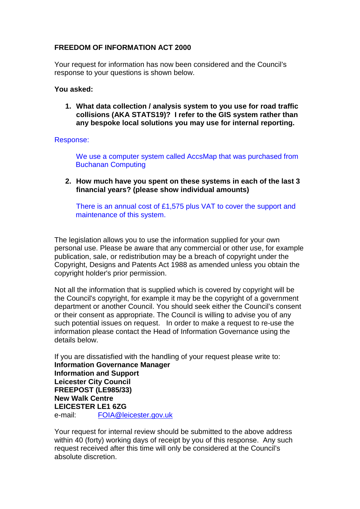## **FREEDOM OF INFORMATION ACT 2000**

Your request for information has now been considered and the Council's response to your questions is shown below.

## **You asked:**

**1. What data collection / analysis system to you use for road traffic collisions (AKA STATS19)? I refer to the GIS system rather than any bespoke local solutions you may use for internal reporting.**

## Response:

We use a computer system called AccsMap that was purchased from Buchanan Computing

**2. How much have you spent on these systems in each of the last 3 financial years? (please show individual amounts)**

There is an annual cost of £1,575 plus VAT to cover the support and maintenance of this system.

The legislation allows you to use the information supplied for your own personal use. Please be aware that any commercial or other use, for example publication, sale, or redistribution may be a breach of copyright under the Copyright, Designs and Patents Act 1988 as amended unless you obtain the copyright holder's prior permission.

Not all the information that is supplied which is covered by copyright will be the Council's copyright, for example it may be the copyright of a government department or another Council. You should seek either the Council's consent or their consent as appropriate. The Council is willing to advise you of any such potential issues on request. In order to make a request to re-use the information please contact the Head of Information Governance using the details below.

If you are dissatisfied with the handling of your request please write to: **Information Governance Manager Information and Support Leicester City Council FREEPOST (LE985/33) New Walk Centre LEICESTER LE1 6ZG**<br>e-mail: FOIA@le FOIA@leicester.gov.uk

Your request for internal review should be submitted to the above address within 40 (forty) working days of receipt by you of this response. Any such request received after this time will only be considered at the Council's absolute discretion.